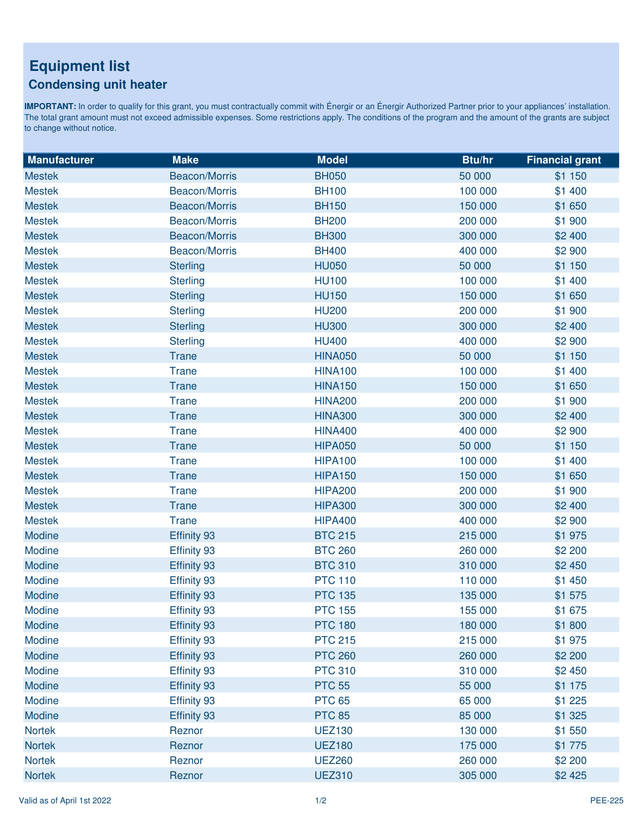## **Equipment list Condensing unit heater**

IMPORTANT: In order to qualify for this grant, you must contractually commit with Énergir or an Énergir Authorized Partner prior to your appliances' installation. The total grant amount must not exceed admissible expenses. Some restrictions apply. The conditions of the program and the amount of the grants are subject to change without notice.

| <b>Manufacturer</b> | <b>Make</b>          | <b>Model</b>   | Btu/hr  | <b>Financial grant</b> |
|---------------------|----------------------|----------------|---------|------------------------|
| <b>Mestek</b>       | <b>Beacon/Morris</b> | <b>BH050</b>   | 50 000  | \$1 150                |
| <b>Mestek</b>       | Beacon/Morris        | <b>BH100</b>   | 100 000 | \$1 400                |
| <b>Mestek</b>       | <b>Beacon/Morris</b> | <b>BH150</b>   | 150 000 | \$1 650                |
| <b>Mestek</b>       | Beacon/Morris        | <b>BH200</b>   | 200 000 | \$1 900                |
| <b>Mestek</b>       | <b>Beacon/Morris</b> | <b>BH300</b>   | 300 000 | \$2 400                |
| <b>Mestek</b>       | Beacon/Morris        | <b>BH400</b>   | 400 000 | \$2 900                |
| <b>Mestek</b>       | <b>Sterling</b>      | <b>HU050</b>   | 50 000  | \$1 150                |
| <b>Mestek</b>       | <b>Sterling</b>      | <b>HU100</b>   | 100 000 | \$1 400                |
| <b>Mestek</b>       | <b>Sterling</b>      | <b>HU150</b>   | 150 000 | \$1 650                |
| <b>Mestek</b>       | <b>Sterling</b>      | <b>HU200</b>   | 200 000 | \$1 900                |
| <b>Mestek</b>       | <b>Sterling</b>      | <b>HU300</b>   | 300 000 | \$2 400                |
| <b>Mestek</b>       | <b>Sterling</b>      | <b>HU400</b>   | 400 000 | \$2 900                |
| <b>Mestek</b>       | <b>Trane</b>         | <b>HINA050</b> | 50 000  | \$1 150                |
| <b>Mestek</b>       | <b>Trane</b>         | <b>HINA100</b> | 100 000 | \$1 400                |
| <b>Mestek</b>       | <b>Trane</b>         | <b>HINA150</b> | 150 000 | \$1 650                |
| <b>Mestek</b>       | <b>Trane</b>         | <b>HINA200</b> | 200 000 | \$1 900                |
| <b>Mestek</b>       | <b>Trane</b>         | <b>HINA300</b> | 300 000 | \$2 400                |
| <b>Mestek</b>       | <b>Trane</b>         | <b>HINA400</b> | 400 000 | \$2 900                |
| <b>Mestek</b>       | <b>Trane</b>         | <b>HIPA050</b> | 50 000  | \$1 150                |
| <b>Mestek</b>       | <b>Trane</b>         | <b>HIPA100</b> | 100 000 | \$1 400                |
| <b>Mestek</b>       | <b>Trane</b>         | <b>HIPA150</b> | 150 000 | \$1 650                |
| <b>Mestek</b>       | <b>Trane</b>         | <b>HIPA200</b> | 200 000 | \$1 900                |
| <b>Mestek</b>       | <b>Trane</b>         | <b>HIPA300</b> | 300 000 | \$2 400                |
| <b>Mestek</b>       | <b>Trane</b>         | <b>HIPA400</b> | 400 000 | \$2 900                |
| Modine              | Effinity 93          | <b>BTC 215</b> | 215 000 | \$1975                 |
| Modine              | Effinity 93          | <b>BTC 260</b> | 260 000 | \$2 200                |
| Modine              | Effinity 93          | <b>BTC 310</b> | 310 000 | \$2 450                |
| Modine              | Effinity 93          | <b>PTC 110</b> | 110 000 | \$1 450                |
| Modine              | Effinity 93          | <b>PTC 135</b> | 135 000 | \$1 575                |
| Modine              | Effinity 93          | <b>PTC 155</b> | 155 000 | \$1 675                |
| Modine              | Effinity 93          | <b>PTC 180</b> | 180 000 | \$1800                 |
| Modine              | Effinity 93          | <b>PTC 215</b> | 215 000 | \$1975                 |
| Modine              | Effinity 93          | <b>PTC 260</b> | 260 000 | \$2 200                |
| Modine              | Effinity 93          | <b>PTC 310</b> | 310 000 | \$2 450                |
| Modine              | Effinity 93          | <b>PTC 55</b>  | 55 000  | \$1 175                |
| Modine              | Effinity 93          | <b>PTC 65</b>  | 65 000  | \$1 225                |
| Modine              | Effinity 93          | <b>PTC 85</b>  | 85 000  | \$1 325                |
| Nortek              | Reznor               | <b>UEZ130</b>  | 130 000 | \$1 550                |
| <b>Nortek</b>       | Reznor               | <b>UEZ180</b>  | 175 000 | \$1 775                |
| <b>Nortek</b>       | Reznor               | <b>UEZ260</b>  | 260 000 | \$2 200                |
| <b>Nortek</b>       | Reznor               | <b>UEZ310</b>  | 305 000 | \$2 4 25               |